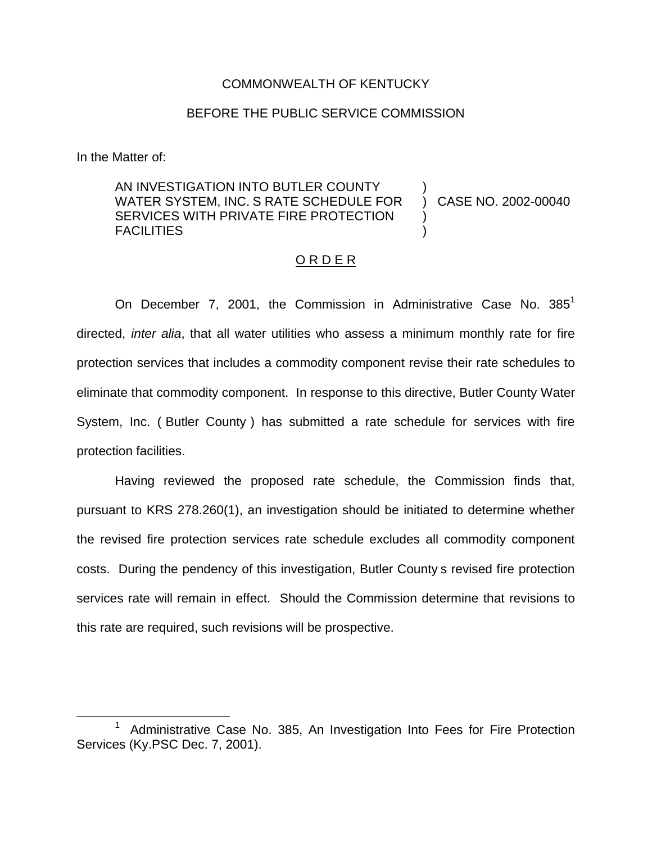## COMMONWEALTH OF KENTUCKY

## BEFORE THE PUBLIC SERVICE COMMISSION

In the Matter of:

AN INVESTIGATION INTO BUTLER COUNTY WATER SYSTEM, INC. S RATE SCHEDULE FOR SERVICES WITH PRIVATE FIRE PROTECTION **FACILITIES** ) ) )

) CASE NO. 2002-00040

#### O R D E R

On December 7, 2001, the Commission in Administrative Case No.  $385<sup>1</sup>$ directed, *inter alia*, that all water utilities who assess a minimum monthly rate for fire protection services that includes a commodity component revise their rate schedules to eliminate that commodity component. In response to this directive, Butler County Water System, Inc. ( Butler County ) has submitted a rate schedule for services with fire protection facilities.

Having reviewed the proposed rate schedule, the Commission finds that, pursuant to KRS 278.260(1), an investigation should be initiated to determine whether the revised fire protection services rate schedule excludes all commodity component costs. During the pendency of this investigation, Butler County s revised fire protection services rate will remain in effect. Should the Commission determine that revisions to this rate are required, such revisions will be prospective.

<sup>1</sup> Administrative Case No. 385, An Investigation Into Fees for Fire Protection Services (Ky.PSC Dec. 7, 2001).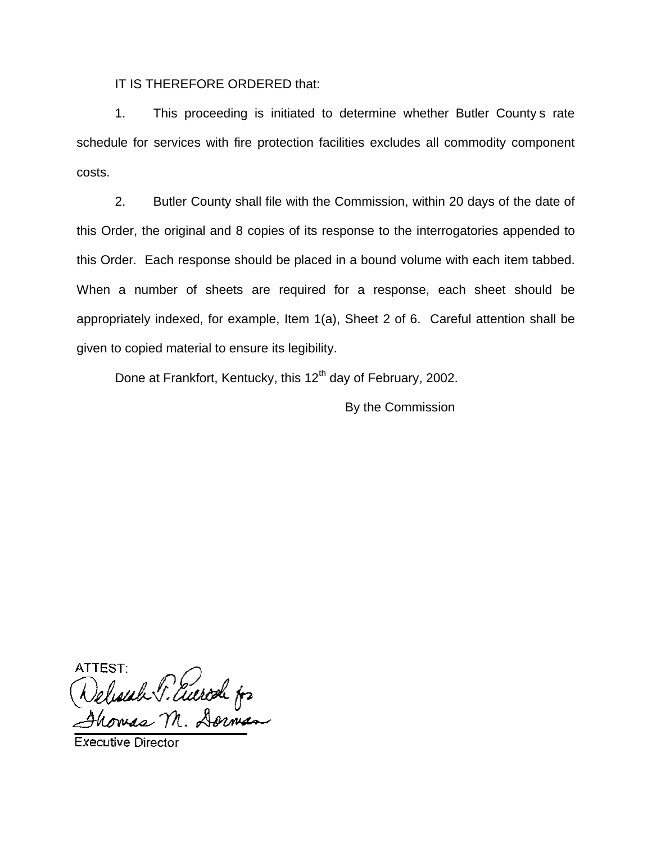IT IS THEREFORE ORDERED that:

1. This proceeding is initiated to determine whether Butler County s rate schedule for services with fire protection facilities excludes all commodity component costs.

2. Butler County shall file with the Commission, within 20 days of the date of this Order, the original and 8 copies of its response to the interrogatories appended to this Order. Each response should be placed in a bound volume with each item tabbed. When a number of sheets are required for a response, each sheet should be appropriately indexed, for example, Item 1(a), Sheet 2 of 6. Careful attention shall be given to copied material to ensure its legibility.

Done at Frankfort, Kentucky, this 12<sup>th</sup> day of February, 2002.

By the Commission

ATTEST Selesiah P. Euerod for

**Executive Director**